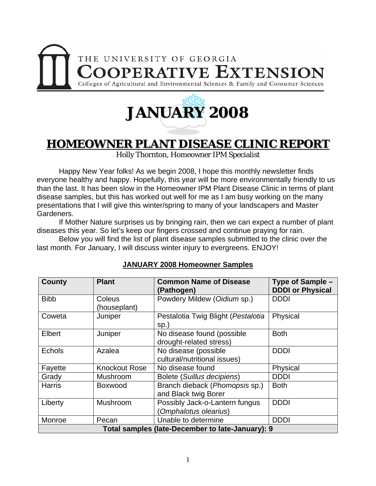



## **HOMEOWNER PLANT DISEASE CLINIC REPORT**

Holly Thornton, Homeowner IPM Specialist

Happy New Year folks! As we begin 2008, I hope this monthly newsletter finds everyone healthy and happy. Hopefully, this year will be more environmentally friendly to us than the last. It has been slow in the Homeowner IPM Plant Disease Clinic in terms of plant disease samples, but this has worked out well for me as I am busy working on the many presentations that I will give this winter/spring to many of your landscapers and Master Gardeners.

If Mother Nature surprises us by bringing rain, then we can expect a number of plant diseases this year. So let's keep our fingers crossed and continue praying for rain.

Below you will find the list of plant disease samples submitted to the clinic over the last month. For January, I will discuss winter injury to evergreens. ENJOY!

| <b>County</b>                                    | <b>Plant</b>           | <b>Common Name of Disease</b><br>(Pathogen)            | Type of Sample -<br><b>DDDI or Physical</b> |
|--------------------------------------------------|------------------------|--------------------------------------------------------|---------------------------------------------|
| <b>Bibb</b>                                      | Coleus<br>(houseplant) | Powdery Mildew (Oidium sp.)                            | <b>DDDI</b>                                 |
| Coweta                                           | Juniper                | Pestalotia Twig Blight (Pestalotia<br>sp.)             | Physical                                    |
| Elbert                                           | Juniper                | No disease found (possible<br>drought-related stress)  | <b>Both</b>                                 |
| Echols                                           | Azalea                 | No disease (possible<br>cultural/nutritional issues)   | <b>DDDI</b>                                 |
| Fayette                                          | <b>Knockout Rose</b>   | No disease found                                       | Physical                                    |
| Grady                                            | Mushroom               | Bolete (Suillus decipiens)                             | <b>DDDI</b>                                 |
| <b>Harris</b>                                    | <b>Boxwood</b>         | Branch dieback (Phomopsis sp.)<br>and Black twig Borer | <b>Both</b>                                 |
| Liberty                                          | Mushroom               | Possibly Jack-o-Lantern fungus<br>Omphalotus olearius) | <b>DDDI</b>                                 |
| Monroe                                           | Pecan                  | Unable to determine                                    | <b>DDDI</b>                                 |
| Total samples (late-December to late-January): 9 |                        |                                                        |                                             |

## **JANUARY 2008 Homeowner Samples**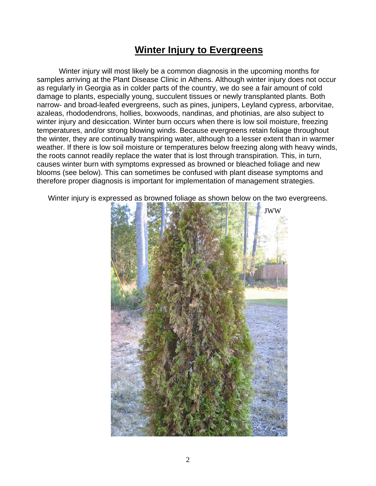## **Winter Injury to Evergreens**

Winter injury will most likely be a common diagnosis in the upcoming months for samples arriving at the Plant Disease Clinic in Athens. Although winter injury does not occur as regularly in Georgia as in colder parts of the country, we do see a fair amount of cold damage to plants, especially young, succulent tissues or newly transplanted plants. Both narrow- and broad-leafed evergreens, such as pines, junipers, Leyland cypress, arborvitae, azaleas, rhododendrons, hollies, boxwoods, nandinas, and photinias, are also subject to winter injury and desiccation. Winter burn occurs when there is low soil moisture, freezing temperatures, and/or strong blowing winds. Because evergreens retain foliage throughout the winter, they are continually transpiring water, although to a lesser extent than in warmer weather. If there is low soil moisture or temperatures below freezing along with heavy winds, the roots cannot readily replace the water that is lost through transpiration. This, in turn, causes winter burn with symptoms expressed as browned or bleached foliage and new blooms (see below). This can sometimes be confused with plant disease symptoms and therefore proper diagnosis is important for implementation of management strategies.

Winter injury is expressed as browned foliage as shown below on the two evergreens.

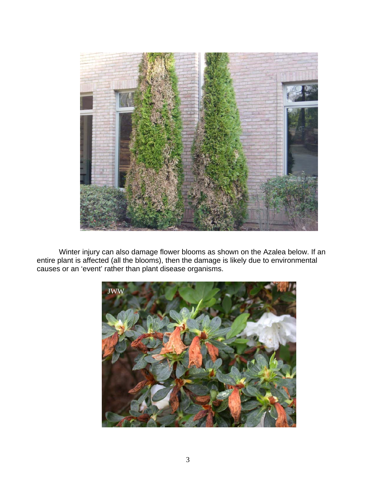

Winter injury can also damage flower blooms as shown on the Azalea below. If an entire plant is affected (all the blooms), then the damage is likely due to environmental causes or an 'event' rather than plant disease organisms.

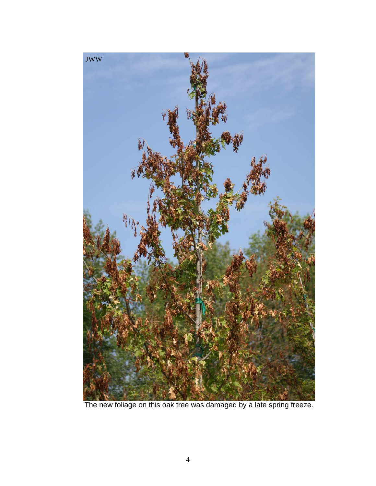

The new foliage on this oak tree was damaged by a late spring freeze.